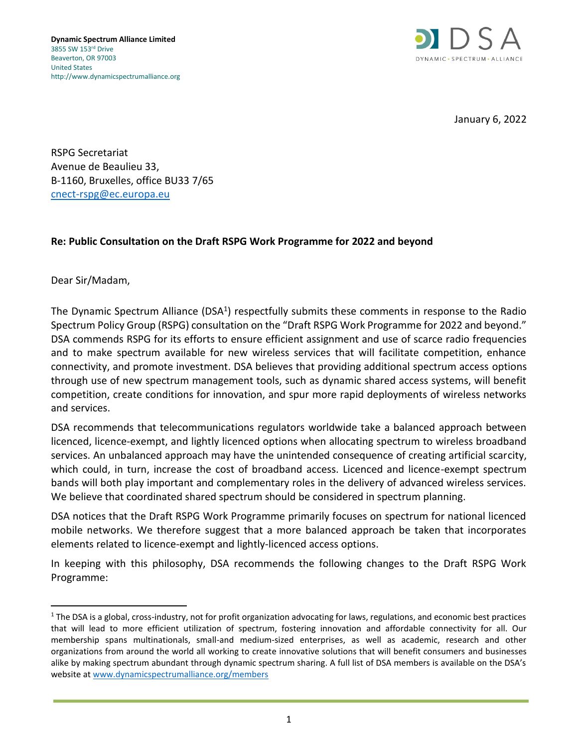

January 6, 2022

RSPG Secretariat Avenue de Beaulieu 33, B-1160, Bruxelles, office BU33 7/65 [cnect-rspg@ec.europa.eu](mailto:cnect-rspg@ec.europa.eu)

## **Re: Public Consultation on the Draft RSPG Work Programme for 2022 and beyond**

Dear Sir/Madam,

The Dynamic Spectrum Alliance (DSA<sup>1</sup>) respectfully submits these comments in response to the Radio Spectrum Policy Group (RSPG) consultation on the "Draft RSPG Work Programme for 2022 and beyond." DSA commends RSPG for its efforts to ensure efficient assignment and use of scarce radio frequencies and to make spectrum available for new wireless services that will facilitate competition, enhance connectivity, and promote investment. DSA believes that providing additional spectrum access options through use of new spectrum management tools, such as dynamic shared access systems, will benefit competition, create conditions for innovation, and spur more rapid deployments of wireless networks and services.

DSA recommends that telecommunications regulators worldwide take a balanced approach between licenced, licence-exempt, and lightly licenced options when allocating spectrum to wireless broadband services. An unbalanced approach may have the unintended consequence of creating artificial scarcity, which could, in turn, increase the cost of broadband access. Licenced and licence-exempt spectrum bands will both play important and complementary roles in the delivery of advanced wireless services. We believe that coordinated shared spectrum should be considered in spectrum planning.

DSA notices that the Draft RSPG Work Programme primarily focuses on spectrum for national licenced mobile networks. We therefore suggest that a more balanced approach be taken that incorporates elements related to licence-exempt and lightly-licenced access options.

In keeping with this philosophy, DSA recommends the following changes to the Draft RSPG Work Programme:

 $1$  The DSA is a global, cross-industry, not for profit organization advocating for laws, regulations, and economic best practices that will lead to more efficient utilization of spectrum, fostering innovation and affordable connectivity for all. Our membership spans multinationals, small-and medium-sized enterprises, as well as academic, research and other organizations from around the world all working to create innovative solutions that will benefit consumers and businesses alike by making spectrum abundant through dynamic spectrum sharing. A full list of DSA members is available on the DSA's website a[t www.dynamicspectrumalliance.org/members](http://www.dynamicspectrumalliance.org/members)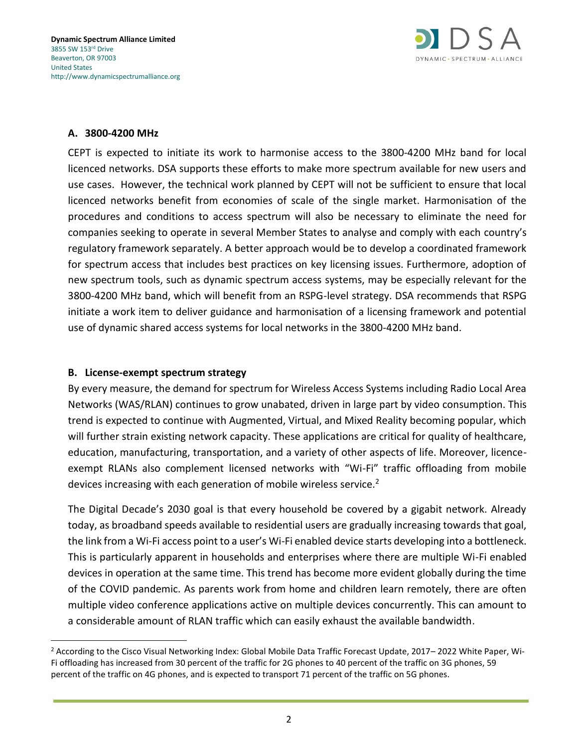

#### **A. 3800-4200 MHz**

CEPT is expected to initiate its work to harmonise access to the 3800-4200 MHz band for local licenced networks. DSA supports these efforts to make more spectrum available for new users and use cases. However, the technical work planned by CEPT will not be sufficient to ensure that local licenced networks benefit from economies of scale of the single market. Harmonisation of the procedures and conditions to access spectrum will also be necessary to eliminate the need for companies seeking to operate in several Member States to analyse and comply with each country's regulatory framework separately. A better approach would be to develop a coordinated framework for spectrum access that includes best practices on key licensing issues. Furthermore, adoption of new spectrum tools, such as dynamic spectrum access systems, may be especially relevant for the 3800-4200 MHz band, which will benefit from an RSPG-level strategy. DSA recommends that RSPG initiate a work item to deliver guidance and harmonisation of a licensing framework and potential use of dynamic shared access systems for local networks in the 3800-4200 MHz band.

#### **B. License-exempt spectrum strategy**

By every measure, the demand for spectrum for Wireless Access Systems including Radio Local Area Networks (WAS/RLAN) continues to grow unabated, driven in large part by video consumption. This trend is expected to continue with Augmented, Virtual, and Mixed Reality becoming popular, which will further strain existing network capacity. These applications are critical for quality of healthcare, education, manufacturing, transportation, and a variety of other aspects of life. Moreover, licenceexempt RLANs also complement licensed networks with "Wi-Fi" traffic offloading from mobile devices increasing with each generation of mobile wireless service.<sup>2</sup>

The Digital Decade's 2030 goal is that every household be covered by a gigabit network. Already today, as broadband speeds available to residential users are gradually increasing towards that goal, the link from a Wi-Fi access point to a user's Wi-Fi enabled device starts developing into a bottleneck. This is particularly apparent in households and enterprises where there are multiple Wi-Fi enabled devices in operation at the same time. This trend has become more evident globally during the time of the COVID pandemic. As parents work from home and children learn remotely, there are often multiple video conference applications active on multiple devices concurrently. This can amount to a considerable amount of RLAN traffic which can easily exhaust the available bandwidth.

<sup>2</sup> According to the Cisco Visual Networking Index: Global Mobile Data Traffic Forecast Update, 2017– 2022 White Paper, Wi-Fi offloading has increased from 30 percent of the traffic for 2G phones to 40 percent of the traffic on 3G phones, 59 percent of the traffic on 4G phones, and is expected to transport 71 percent of the traffic on 5G phones.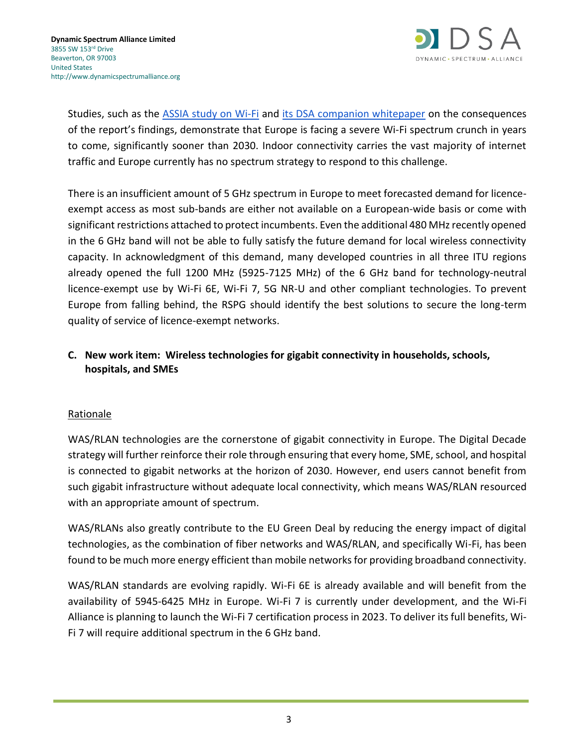

Studies, such as the [ASSIA study on Wi-Fi](http://dynamicspectrumalliance.org/wp-content/uploads/2021/06/ASSIA-DSA-Summit-Presentation-v7.8.pdf) and [its DSA companion whitepaper](http://dynamicspectrumalliance.org/wp-content/uploads/2021/11/Lessons-from-the-Assia-Report-on-Wi-Fi-and-Broadband-Data.pdf) on the consequences of the report's findings, demonstrate that Europe is facing a severe Wi-Fi spectrum crunch in years to come, significantly sooner than 2030. Indoor connectivity carries the vast majority of internet traffic and Europe currently has no spectrum strategy to respond to this challenge.

There is an insufficient amount of 5 GHz spectrum in Europe to meet forecasted demand for licenceexempt access as most sub-bands are either not available on a European-wide basis or come with significant restrictions attached to protect incumbents. Even the additional 480 MHz recently opened in the 6 GHz band will not be able to fully satisfy the future demand for local wireless connectivity capacity. In acknowledgment of this demand, many developed countries in all three ITU regions already opened the full 1200 MHz (5925-7125 MHz) of the 6 GHz band for technology-neutral licence-exempt use by Wi-Fi 6E, Wi-Fi 7, 5G NR-U and other compliant technologies. To prevent Europe from falling behind, the RSPG should identify the best solutions to secure the long-term quality of service of licence-exempt networks.

# **C. New work item: Wireless technologies for gigabit connectivity in households, schools, hospitals, and SMEs**

## Rationale

WAS/RLAN technologies are the cornerstone of gigabit connectivity in Europe. The Digital Decade strategy will further reinforce their role through ensuring that every home, SME, school, and hospital is connected to gigabit networks at the horizon of 2030. However, end users cannot benefit from such gigabit infrastructure without adequate local connectivity, which means WAS/RLAN resourced with an appropriate amount of spectrum.

WAS/RLANs also greatly contribute to the EU Green Deal by reducing the energy impact of digital technologies, as the combination of fiber networks and WAS/RLAN, and specifically Wi-Fi, has been found to be much more energy efficient than mobile networks for providing broadband connectivity.

WAS/RLAN standards are evolving rapidly. Wi-Fi 6E is already available and will benefit from the availability of 5945-6425 MHz in Europe. Wi-Fi 7 is currently under development, and the Wi-Fi Alliance is planning to launch the Wi-Fi 7 certification process in 2023. To deliver its full benefits, Wi-Fi 7 will require additional spectrum in the 6 GHz band.